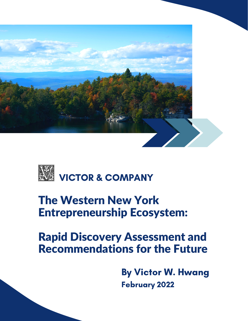



# The Western New York Entrepreneurship Ecosystem:

# Rapid Discovery Assessment and Recommendations for the Future

By Victor W. Hwang February 2022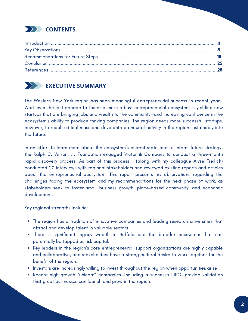

### **EXECUTIVE SUMMARY**

The Western New York region has seen meaningful entrepreneurial success in recent years. Work over the last decade to foster a more robust entrepreneurial ecosystem is yielding new startups that are bringing jobs and wealth to the community—and increasing confidence in the ecosystem's ability to produce thriving companies. The region needs more successful startups, however, to reach critical mass and drive entrepreneurial activity in the region sustainably into the future.

In an effort to learn more about the ecosystem's current state and to inform future strategy, the Ralph C. Wilson, Jr. Foundation engaged Victor & Company to conduct a three-month rapid discovery process. As part of this process, I (along with my colleague Alyse Freilich) conducted 20 interviews with regional stakeholders and reviewed existing reports and articles about the entrepreneurial ecosystem. This report presents my observations regarding the challenges facing the ecosystem and my recommendations for the next phase of work, as stakeholders seek to foster small business growth, place-based community, and economic development.

Key regional strengths include:

- The region has a tradition of innovative companies and leading research universities that attract and develop talent in valuable sectors.
- There is significant legacy wealth in Buffalo and the broader ecosystem that can potentially be tapped as risk capital.
- Key leaders in the region's core entrepreneurial support organizations are highly capable and collaborative, and stakeholders have a strong cultural desire to work together for the benefit of the region.
- Investors are increasingly willing to invest throughout the region when opportunities arise.
- Recent high-growth "unicorn" companies—including a successful IPO—provide validation that great businesses can launch and grow in the region.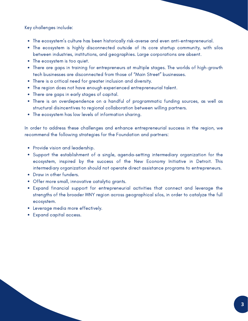Key challenges include:

- The ecosystem's culture has been historically risk-averse and even anti-entrepreneurial.
- The ecosystem is highly disconnected outside of its core startup community, with silos between industries, institutions, and geographies. Large corporations are absent.
- The ecosystem is too quiet.
- There are gaps in training for entrepreneurs at multiple stages. The worlds of high-growth tech businesses are disconnected from those of "Main Street" businesses.
- There is a critical need for greater inclusion and diversity.
- The region does not have enough experienced entrepreneurial talent.
- There are gaps in early stages of capital.
- There is an overdependence on a handful of programmatic funding sources, as well as structural disincentives to regional collaboration between willing partners.
- The ecosystem has low levels of information sharing.

In order to address these challenges and enhance entrepreneurial success in the region, we recommend the following strategies for the Foundation and partners:

- Provide vision and leadership.
- Support the establishment of a single, agenda-setting intermediary organization for the ecosystem, inspired by the success of the New Economy Initiative in Detroit. This intermediary organization should not operate direct assistance programs to entrepreneurs.
- Draw in other funders.
- Offer more small, innovative catalytic grants.
- Expand financial support for entrepreneurial activities that connect and leverage the strengths of the broader WNY region across geographical silos, in order to catalyze the full ecosystem.
- Leverage media more effectively.
- Expand capital access.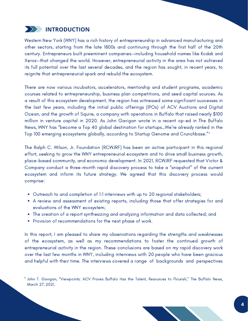

Western New York (WNY) has a rich history of entrepreneurship in advanced manufacturing and other sectors, starting from the late 1800s and continuing through the first half of the 20th century. Entrepreneurs built preeminent companies—including household names like Kodak and Xerox—that changed the world. However, entrepreneurial activity in the area has not achieved its full potential over the last several decades, and the region has sought, in recent years, to reignite that entrepreneurial spark and rebuild the ecosystem.

There are now various incubators, accelerators, mentorship and student programs, academic courses related to entrepreneurship, business plan competitions, and seed capital sources. As a result of this ecosystem development, the region has witnessed some significant successes in the last few years, including the initial public offerings (IPOs) of ACV Auctions and Digital Ocean, and the growth of Squire, a company with operations in Buffalo that raised nearly \$100 million in venture capital in 2020. As John Gavigan wrote in a recent op-ed in The Buffalo News, WNY has "become a Top 40 global destination for startups…We're already ranked in the Top 100 emerging ecosystems globally, according to Startup Genome and Crunchbase." 1

The Ralph C. Wilson, Jr. Foundation (RCWJRF) has been an active participant in this regional effort, seeking to grow the WNY entrepreneurial ecosystem and to drive small business growth, place-based community, and economic development. In 2021, RCWJRF requested that Victor & Company conduct a three-month rapid discovery process to take a "snapshot" of the current ecosystem and inform its future strategy. We agreed that this discovery process would comprise:

- Outreach to and completion of 1:1 interviews with up to 20 regional stakeholders;
- A review and assessment of existing reports, including those that offer strategies for and evaluations of the WNY ecosystem;
- The creation of a report synthesizing and analyzing information and data collected; and
- Provision of recommendations for the next phase of work.

In this report, I am pleased to share my observations regarding the strengths and weaknesses of the ecosystem, as well as my recommendations to foster the continued growth of entrepreneurial activity in the region. These conclusions are based on my rapid discovery work over the last few months in WNY, including interviews with 20 people who have been gracious and helpful with their time. The interviews covered a range of backgrounds and perspectives

<sup>&</sup>lt;sup>1</sup> John T. Gavigan, "Viewpoints: ACV Proves Buffalo Has the Talent, Resources to Flourish," The Buffalo News, March 27, 2021.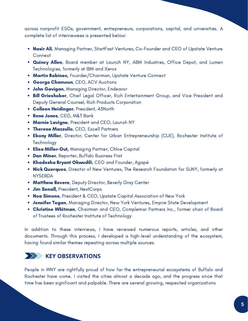across nonprofit ESOs, government, entrepreneurs, corporations, capital, and universities. A complete list of interviewees is presented below:

- Nasir Ali, Managing Partner, StartFast Ventures, Co-Founder and CEO of Upstate Venture **Connect**
- **Quincy Allen**, Board member at Launch NY, ABM Industries, Office Depot, and Lumen Technologies, formerly at IBM and Xerox
- **Martin Babinec, Founder/Chairman, Upstate Venture Connect**
- George Chamoun, CEO, ACV Auctions
- John Gavigan, Managing Director, Endeavor
- Bill Grieshober, Chief Legal Officer, Rich Entertainment Group, and Vice President and Deputy General Counsel, Rich Products Corporation
- **Colleen Heidinger**, President, 43North
- Rene Jones, CEO, M&T Bank
- Marnie Lavigne, President and CEO, Launch NY
- **Theresa Mazzullo, CEO, Excell Partners**
- **Ebony Miller**, Director, Center for Urban Entrepreneurship (CUE), Rochester Institute of **Technology**
- **Elisa Miller-Out, Managing Partner, Chloe Capital**
- **Dan Miner, Reporter, Buffalo Business First**
- Khadesha Bryant Okwudili, CEO and Founder, Agapé
- Nick Querques, Director of New Ventures, The Research Foundation for SUNY, formerly at **NYSERDA**
- **Matthew Revere, Deputy Director, Beverly Gray Center**
- Jim Senall, President, NextCorps
- Noa Simons, President & CEO, Upstate Capital Association of New York
- **Jennifer Tegan,** Managing Director, New York Ventures, Empire State Development
- Christine Whitman, Chairman and CEO, Complemar Partners Inc., former chair of Board of Trustees of Rochester Institute of Technology

In addition to these interviews, I have reviewed numerous reports, articles, and other documents. Through this process, I developed a high-level understanding of the ecosystem, having found similar themes repeating across multiple sources.

### **KEY OBSERVATIONS**

People in WNY are rightfully proud of how far the entrepreneurial ecosystems of Buffalo and Rochester have come. I visited the cities almost a decade ago, and the progress since that time has been significant and palpable. There are several growing, respected organizations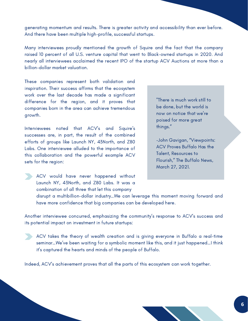generating momentum and results. There is greater activity and accessibility than ever before. And there have been multiple high-profile, successful startups.

Many interviewees proudly mentioned the growth of Squire and the fact that the company raised 10 percent of all U.S. venture capital that went to Black-owned startups in 2020. And nearly all interviewees acclaimed the recent IPO of the startup ACV Auctions at more than a billion-dollar market valuation.

These companies represent both validation and inspiration. Their success affirms that the ecosystem work over the last decade has made a significant difference for the region, and it proves that companies born in the area can achieve tremendous growth.

Interviewees noted that ACV's and Squire's successes are, in part, the result of the combined efforts of groups like Launch NY, 43North, and Z80 Labs. One interviewee alluded to the importance of this collaboration and the powerful example ACV sets for the region:



-John Gavigan, "Viewpoints: ACV Proves Buffalo Has the Talent, Resources to Flourish," The Buffalo News, March 27, 2021.

ACV would have never happened without Launch NY, 43North, and Z80 Labs. It was a combination of all three that let this company

disrupt a multibillion-dollar industry…We can leverage this moment moving forward and have more confidence that big companies can be developed here.

Another interviewee concurred, emphasizing the community's response to ACV's success and its potential impact on investment in future startups:

ACV takes the theory of wealth creation and is giving everyone in Buffalo a real-time seminar…We've been waiting for a symbolic moment like this, and it just happened…I think it's captured the hearts and minds of the people of Buffalo.

Indeed, ACV's achievement proves that all the parts of this ecosystem can work together.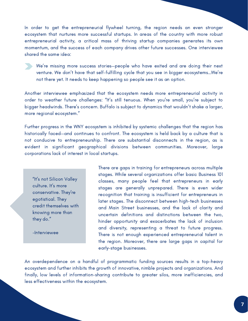In order to get the entrepreneurial flywheel turning, the region needs an even stronger ecosystem that nurtures more successful startups. In areas of the country with more robust entrepreneurial activity, a critical mass of thriving startup companies generates its own momentum, and the success of each company drives other future successes. One interviewee shared the same idea:

We're missing more success stories—people who have exited and are doing their next venture. We don't have that self-fulfilling cycle that you see in bigger ecosystems…We're not there yet. It needs to keep happening so people see it as an option.

Another interviewee emphasized that the ecosystem needs more entrepreneurial activity in order to weather future challenges: "It's still tenuous. When you're small, you're subject to bigger headwinds. There's concern. Buffalo is subject to dynamics that wouldn't shake a larger, more regional ecosystem."

Further progress in the WNY ecosystem is inhibited by systemic challenges that the region has historically faced—and continues to confront. The ecosystem is held back by a culture that is not conducive to entrepreneurship. There are substantial disconnects in the region, as is evident in significant geographical divisions between communities. Moreover, large corporations lack of interest in local startups.

"It's not Silicon Valley culture. It's more conservative. They're egotistical. They credit themselves with knowing more than they do."

-Interviewee

There are gaps in training for entrepreneurs across multiple stages. While several organizations offer basic Business 101 classes, many people feel that entrepreneurs in early stages are generally unprepared. There is even wider recognition that training is insufficient for entrepreneurs in later stages. The disconnect between high-tech businesses and Main Street businesses, and the lack of clarity and uncertain definitions and distinctions between the two, hinder opportunity and exacerbates the lack of inclusion and diversity, representing a threat to future progress. There is not enough experienced entrepreneurial talent in the region. Moreover, there are large gaps in capital for early-stage businesses.

An overdependence on a handful of programmatic funding sources results in a top-heavy ecosystem and further inhibits the growth of innovative, nimble projects and organizations. And finally, low levels of information-sharing contribute to greater silos, more inefficiencies, and less effectiveness within the ecosystem.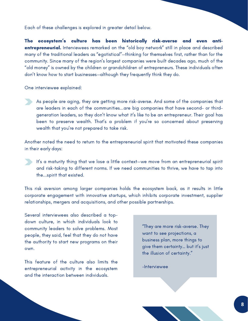Each of these challenges is explored in greater detail below.

The ecosystem's culture has been historically risk-averse and even antientrepreneurial. Interviewees remarked on the "old boy network" still in place and described many of the traditional leaders as "egotistical"—thinking for themselves first, rather than for the community. Since many of the region's largest companies were built decades ago, much of the "old money" is owned by the children or grandchildren of entrepreneurs. These individuals often don't know how to start businesses—although they frequently think they do.

One interviewee explained:

As people are aging, they are getting more risk-averse. And some of the companies that are leaders in each of the communities...are big companies that have second- or thirdgeneration leaders, so they don't know what it's like to be an entrepreneur. Their goal has been to preserve wealth. That's a problem if you're so concerned about preserving wealth that you're not prepared to take risk.

Another noted the need to return to the entrepreneurial spirit that motivated these companies in their early days:

It's a maturity thing that we lose a little context—we move from an entrepreneurial spirit and risk-taking to different norms. If we need communities to thrive, we have to tap into the...spirit that existed.

This risk aversion among larger companies holds the ecosystem back, as it results in little corporate engagement with innovative startups, which inhibits corporate investment, supplier relationships, mergers and acquisitions, and other possible partnerships.

Several interviewees also described a topdown culture, in which individuals look to community leaders to solve problems. Most people, they said, feel that they do not have the authority to start new programs on their own.

This feature of the culture also limits the entrepreneurial activity in the ecosystem and the interaction between individuals.

"They are more risk-averse. They want to see projections, a business plan, more things to give them certainty… but it's just the illusion of certainty."

-Interviewee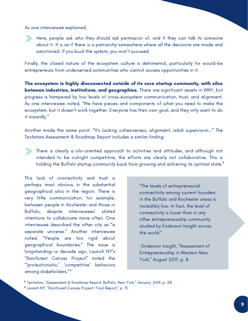As one interviewee explained,

Here, people ask who they should ask permission of, and if they can talk to someone about it. It is as if there is a patriarchy somewhere where all the decisions are made and sanctioned. If you buck the system, you won't succeed.

Finally, the closed nature of the ecosystem culture is detrimental, particularly for would-be entrepreneurs from underserved communities who cannot access opportunities in it.

The ecosystem is highly disconnected outside of its core startup community, with silos between industries, institutions, and geographies. There are significant assets in WNY, but progress is hampered by low levels of cross-ecosystem communication, trust, and alignment. As one interviewee noted, "We have pieces and components of what you need to make the ecosystem, but it doesn't work together. Everyone has their own goal, and they only want to do it inwardly."

Another made the same point: "It's lacking cohesiveness, alignment, adult supervision…" The Techstars Assessment & Roadmap Report includes a similar finding:

There is clearly a silo-oriented approach to activities and attitudes, and although not intended to be outright competitive, the efforts are clearly not collaborative. This is holding the Buffalo startup community back from growing and achieving its optimal state. 2

This lack of connectivity and trust is perhaps most obvious in the substantial geographical silos in the region. There is very little communication, for example, between people in Rochester and those in Buffalo, despite interviewees' stated intentions to collaborate more often. One interviewee described the other city as "a separate universe." Another interviewee noted, "People are too rigid about geographical boundaries." The issue is longstanding—a decade ago, Launch NY's "Rainforest Canvas Project" noted the "'protectionistic,' 'competitive' behaviors among stakeholders." 3

"The levels of entrepreneurial connectivity among current founders in the Buffalo and Rochester areas is incredibly low. In fact, the level of connectivity is lower than in any other entrepreneurship community studied by Endeavor Insight across the world."

-Endeavor Insight, "Assessment of Entrepreneurship in Western New York," August 2017, p. 8.

<sup>&</sup>lt;sup>2</sup> Techstars, "Assessment & Roadmap Report: Buffalo, New York," January, 2019, p. 28.

<sup>&</sup>lt;sup>3</sup> Launch NY, "Rainforest Canvas Project: Final Report," p. 13.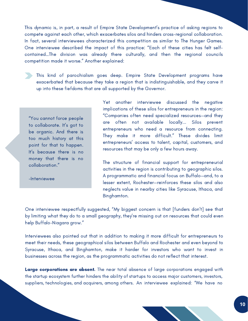This dynamic is, in part, a result of Empire State Development's practice of asking regions to compete against each other, which exacerbates silos and hinders cross-regional collaboration. In fact, several interviewees characterized this competition as similar to The Hunger Games. One interviewee described the impact of this practice: "Each of these cities has felt selfcontained…The division was already there culturally, and then the regional councils competition made it worse." Another explained:

This kind of parochialism goes deep. Empire State Development programs have exacerbated that because they take a region that is indistinguishable, and they carve it up into these fiefdoms that are all supported by the Governor.

"You cannot force people to collaborate. It's got to be organic. And there is too much history at this point for that to happen. It's because there is no money that there is no collaboration."

-Interviewee

Yet another interviewee discussed the negative implications of these silos for entrepreneurs in the region: "Companies often need specialized resources—and they are often not available locally... Silos prevent entrepreneurs who need a resource from connecting. They make it more difficult." These divides limit entrepreneurs' access to talent, capital, customers, and resources that may be only a few hours away.

The structure of financial support for entrepreneurial activities in the region is contributing to geographic silos. A programmatic and financial focus on Buffalo—and, to a lesser extent, Rochester—reinforces these silos and also neglects value in nearby cities like Syracuse, Ithaca, and Binghamton.

One interviewee respectfully suggested, "My biggest concern is that [funders don't] see that by limiting what they do to a small geography, they're missing out on resources that could even help Buffalo-Niagara grow."

Interviewees also pointed out that in addition to making it more difficult for entrepreneurs to meet their needs, these geographical silos between Buffalo and Rochester and even beyond to Syracuse, Ithaca, and Binghamton, make it harder for investors who want to invest in businesses across the region, as the programmatic activities do not reflect that interest.

**Large corporations are absent.** The near total absence of large corporations engaged with the startup ecosystem further hinders the ability of startups to access major customers, investors, suppliers, technologies, and acquirers, among others. An interviewee explained: "We have no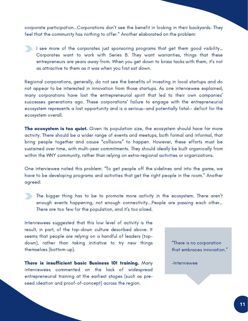corporate participation…Corporations don't see the benefit in looking in their backyards. They feel that the community has nothing to offer." Another elaborated on the problem:

 $\blacktriangleright$  I see more of the corporates just sponsoring programs that get them good visibility... Corporates want to work with Series B. They want warranties, things that these entrepreneurs are years away from. When you get down to brass tacks with them, it's not as attractive to them as it was when you first sat down.

Regional corporations, generally, do not see the benefits of investing in local startups and do not appear to be interested in innovation from those startups. As one interviewee explained, many corporations have lost the entrepreneurial spirit that led to their own companies' successes generations ago. These corporations' failure to engage with the entrepreneurial ecosystem represents a lost opportunity and is a serious—and potentially fatal— deficit for the ecosystem overall.

The ecosystem is too quiet. Given its population size, the ecosystem should have far more activity. There should be a wider range of events and meetups, both formal and informal, that bring people together and cause "collisions" to happen. However, these efforts must be sustained over time, with multi-year commitments. They should ideally be built organically from within the WNY community, rather than relying on extra-regional activities or organizations.

One interviewee noted this problem: "To get people off the sidelines and into the game, we have to be developing programs and activities that get the right people in the room." Another agreed:

The bigger thing has to be to promote more activity in the ecosystem. There aren't enough events happening, not enough connectivity...People are passing each other… There are too few for the population, and it's too siloed.

Interviewees suggested that this low level of activity is the result, in part, of the top-down culture described above. It seems that people are relying on a handful of leaders (topdown), rather than taking initiative to try new things themselves (bottom-up).

There is insufficient basic Business 101 training. Many interviewees commented on the lack of widespread entrepreneurial training at the earliest stages (such as preseed ideation and proof-of-concept) across the region.

"There is no corporation that embraces innovation."

-Interviewee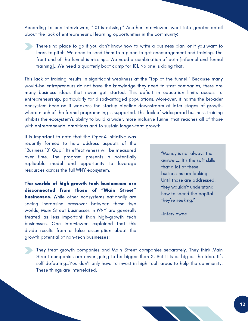According to one interviewee, "101 is missing." Another interviewee went into greater detail about the lack of entrepreneurial learning opportunities in the community:

There's no place to go if you don't know how to write a business plan, or if you want to learn to pitch. We need to send them to a place to get encouragement and training. The front end of the funnel is missing… We need a combination of both [informal and formal training]...We need a quarterly boot camp for 101. No one is doing that.

This lack of training results in significant weakness at the "top of the funnel." Because many would-be entrepreneurs do not have the knowledge they need to start companies, there are many business ideas that never get started. This deficit in education limits access to entrepreneurship, particularly for disadvantaged populations. Moreover, it harms the broader ecosystem because it weakens the startup pipeline downstream at later stages of growth, where much of the formal programming is supported. This lack of widespread business training inhibits the ecosystem's ability to build a wider, more inclusive funnel that reaches all of those with entrepreneurial ambitions and to sustain longer-term growth.

It is important to note that the Open4 initiative was recently formed to help address aspects of the "Business 101 Gap." Its effectiveness will be measured over time. The program presents a potentially replicable model and opportunity to leverage resources across the full WNY ecosystem.

The worlds of high-growth tech businesses are disconnected from those of "Main Street" **businesses.** While other ecosystems nationally are seeing increasing crossover between these two worlds, Main Street businesses in WNY are generally treated as less important than high-growth tech businesses. One interviewee explained that this divide results from a false assumption about the growth potential of non-tech businesses:

"Money is not always the answer…. It's the soft skills that a lot of these businesses are lacking. Until those are addressed, they wouldn't understand how to spend the capital they're seeking."

-Interviewee

They treat growth companies and Main Street companies separately. They think Main Street companies are never going to be bigger than X. But it is as big as the idea. It's self-defeating…You don't only have to invest in high-tech areas to help the community. These things are interrelated.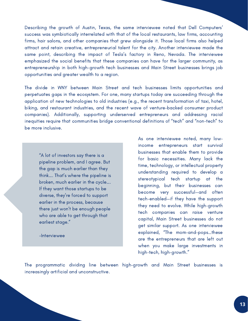Describing the growth of Austin, Texas, the same interviewee noted that Dell Computers' success was symbiotically interrelated with that of the local restaurants, law firms, accounting firms, hair salons, and other companies that grew alongside it. Those local firms also helped attract and retain creative, entrepreneurial talent for the city. Another interviewee made the same point, describing the impact of Tesla's factory in Reno, Nevada. The interviewee emphasized the social benefits that these companies can have for the larger community, as entrepreneurship in both high-growth tech businesses and Main Street businesses brings job opportunities and greater wealth to a region.

The divide in WNY between Main Street and tech businesses limits opportunities and perpetuates gaps in the ecosystem. For one, many startups today are succeeding through the application of new technologies to old industries (e.g., the recent transformation of taxi, hotel, biking, and restaurant industries, and the recent wave of venture-backed consumer product companies). Additionally, supporting underserved entrepreneurs and addressing racial inequities require that communities bridge conventional definitions of "tech" and "non-tech" to be more inclusive.

"A lot of investors say there is a pipeline problem, and I agree. But the gap is much earlier than they think…. That's where the pipeline is broken, much earlier in the cycle…. If they want those startups to be diverse, they're forced to support earlier in the process, because there just won't be enough people who are able to get through that earliest stage."

-Interviewee

As one interviewee noted, many lowincome entrepreneurs start survival businesses that enable them to provide for basic necessities. Many lack the time, technology, or intellectual property understanding required to develop a stereotypical tech startup at the beginning, but their businesses can become very successful—and often tech-enabled—if they have the support they need to evolve. While high-growth tech companies can raise venture capital, Main Street businesses do not get similar support. As one interviewee explained, "The mom-and-pops…these are the entrepreneurs that are left out when you make large investments in high-tech, high-growth."

The programmatic dividing line between high-growth and Main Street businesses is increasingly artificial and unconstructive.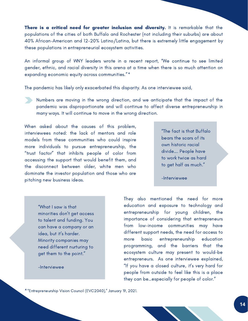There is a critical need for greater inclusion and diversity. It is remarkable that the populations of the cities of both Buffalo and Rochester (not including their suburbs) are about 40% African-American and 12-20% Latino/Latina, but there is extremely little engagement by these populations in entrepreneurial ecosystem activities.

An informal group of WNY leaders wrote in a recent report, "We continue to see limited gender, ethnic, and racial diversity in this arena at a time when there is so much attention on expanding economic equity across communities." 4

The pandemic has likely only exacerbated this disparity. As one interviewee said,

Numbers are moving in the wrong direction, and we anticipate that the impact of the pandemic was disproportionate and will continue to affect diverse entrepreneurship in many ways. It will continue to move in the wrong direction.

When asked about the causes of this problem, interviewees noted: the lack of mentors and role models from these communities who could inspire more individuals to pursue entrepreneurship, the "trust factor" that inhibits people of color from accessing the support that would benefit them, and the disconnect between older, white men who dominate the investor population and those who are pitching new business ideas.

"The fact is that Buffalo bears the scars of its own historic racial divide…. People have to work twice as hard to get half as much."

-Interviewee

"What I saw is that minorities don't get access to talent and funding. You can have a company or an idea, but it's harder. Minority companies may need different nurturing to get them to the point."

-Interviewee

They also mentioned the need for more education and exposure to technology and entrepreneurship for young children, the importance of considering that entrepreneurs from low-income communities may have different support needs, the need for access to more basic entrepreneurship education programming, and the barriers that the ecosystem culture may present to would-be entrepreneurs. As one interviewee explained, "If you have a closed culture, it's very hard for people from outside to feel like this is a place they can be…especially for people of color."

<sup>4</sup> "Entrepreneurship Vision Council (EVC2040)," January 19, 2021.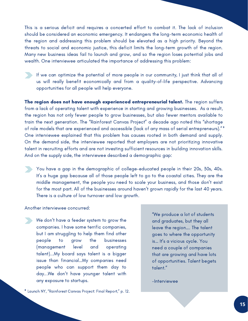This is a serious deficit and requires a concerted effort to combat it. The lack of inclusion should be considered an economic emergency. It endangers the long-term economic health of the region and addressing this problem should be elevated as a high priority. Beyond the threats to social and economic justice, this deficit limits the long-term growth of the region. Many new business ideas fail to launch and grow, and so the region loses potential jobs and wealth. One interviewee articulated the importance of addressing this problem:

If we can optimize the potential of more people in our community, I just think that all of us will really benefit economically and from a quality-of-life perspective. Advancing opportunities for all people will help everyone.

The region does not have enough experienced entrepreneurial talent. The region suffers from a lack of operating talent with experience in starting and growing businesses. As a result, the region has not only fewer people to grow businesses, but also fewer mentors available to train the next generation. The "Rainforest Canvas Project" a decade ago noted this "shortage of role models that are experienced and accessible (lack of any mass of serial entrepreneurs)." 5 One interviewee explained that this problem has causes rooted in both demand and supply. On the demand side, the interviewee reported that employers are not prioritizing innovative talent in recruiting efforts and are not investing sufficient resources in building innovation skills. And on the supply side, the interviewee described a demographic gap:

You have a gap in the demographic of college-educated people in their 20s, 30s, 40s. It's a huge gap because all of those people left to go to the coastal cities. They are the middle management, the people you need to scale your business, and those don't exist for the most part. All of the businesses around haven't grown rapidly for the last 40 years. There is a culture of low turnover and low growth.

Another interviewee concurred:

We don't have a feeder system to grow the companies. I have some terrific companies, but I am struggling to help them find other people to grow the businesses (management level and operating talent)...My board says talent is a bigger issue than financial…My companies need people who can support them day to day...We don't have younger talent with any exposure to startups.

"We produce a lot of students and graduates, but they all leave the region…. The talent goes to where the opportunity is… It's a vicious cycle. You need a couple of companies that are growing and have lots of opportunities. Talent begets talent."

<sup>5</sup> Launch NY, "Rainforest Canvas Project: Final Report," p. 12.

-Interviewee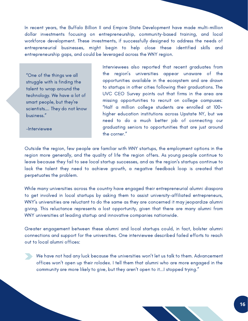In recent years, the Buffalo Billion II and Empire State Development have made multi-million dollar investments focusing on entrepreneurship, community-based training, and local workforce development. These investments, if successfully designed to address the needs of entrepreneurial businesses, might begin to help close these identified skills and entrepreneurship gaps, and could be leveraged across the WNY region.

"One of the things we all struggle with is finding the talent to wrap around the technology. We have a lot of smart people, but they're scientists…. They do not know business."

-Interviewee

Interviewees also reported that recent graduates from the region's universities appear unaware of the opportunities available in the ecosystem and are drawn to startups in other cities following their graduations. The UVC CEO Survey points out that firms in the area are missing opportunities to recruit on college campuses: "Half a million college students are enrolled at 100+ higher education institutions across Upstate NY, but we need to do a much better job of connecting our graduating seniors to opportunities that are just around the corner."

Outside the region, few people are familiar with WNY startups, the employment options in the region more generally, and the quality of life the region offers. As young people continue to leave because they fail to see local startup successes, and as the region's startups continue to lack the talent they need to achieve growth, a negative feedback loop is created that perpetuates the problem.

While many universities across the country have engaged their entrepreneurial alumni diaspora to get involved in local startups by asking them to assist university-affiliated entrepreneurs, WNY's universities are reluctant to do the same as they are concerned it may jeopardize alumni giving. This reluctance represents a lost opportunity, given that there are many alumni from WNY universities at leading startup and innovative companies nationwide.

Greater engagement between these alumni and local startups could, in fact, bolster alumni connections and support for the universities. One interviewee described failed efforts to reach out to local alumni offices:

We have not had any luck because the universities won't let us talk to them. Advancement offices won't open up their rolodex. I tell them that alumni who are more engaged in the community are more likely to give, but they aren't open to it...I stopped trying."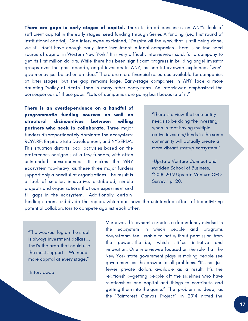There are gaps in early stages of capital. There is broad consensus on WNY's lack of sufficient capital in the early stages: seed funding through Series A funding (i.e., first round of institutional capital). One interviewee explained, "Despite all the work that is still being done, we still don't have enough early-stage investment in local companies…There is no true seed source of capital in Western New York." It is very difficult, interviewees said, for a company to get its first million dollars. While there has been significant progress in building angel investor groups over the past decade, angel investors in WNY, as one interviewee explained, "won't give money just based on an idea." There are more financial resources available for companies at later stages, but the gap remains large. Early-stage companies in WNY face a more daunting "valley of death" than in many other ecosystems. An interviewee emphasized the consequences of these gaps: "Lots of companies are going bust because of it."

There is an overdependence on a handful of programmatic funding sources as well as structural disincentives between willing partners who seek to collaborate. Three major funders disproportionately dominate the ecosystem: RCWJRF, Empire State Development, and NYSERDA. This situation distorts local activities based on the preferences or signals of a few funders, with often unintended consequences. It makes the WNY ecosystem top-heavy, as these three major funders support only a handful of organizations. The result is a lack of smaller, innovative, distributed, nimble projects and organizations that can experiment and fill gaps in the ecosystem. Additionally, certain

"There is a view that one entity needs to be doing the investing, when in fact having multiple active investors/funds in the same community will actually create a more vibrant startup ecosystem."

-Upstate Venture Connect and Madden School of Business, "2018-2019 Upstate Venture CEO Survey," p. 20.

funding streams subdivide the region, which can have the unintended effect of incentivizing potential collaborators to compete against each other.

"The weakest leg on the stool is always investment dollars…. That's the area that could use the most support…. We need more capital at every stage."

-Interviewee

Moreover, this dynamic creates a dependency mindset in the ecosystem in which people and programs downstream feel unable to act without permission from the powers-that-be, which stifles initiative and innovation. One interviewee focused on the role that the New York state government plays in making people see government as the answer to all problems: "It's not just fewer private dollars available as a result. It's the relationship—getting people off the sidelines who have relationships and capital and things to contribute and getting them into the game." The problem is deep, as the "Rainforest Canvas Project" in 2014 noted the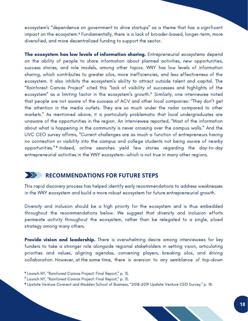ecosystem's "dependence on government to drive startups" as a theme that has a significant impact on the ecosystem.' Fundamentally, there is a lack of broader-based, longer-term, more diversified, and more decentralized funding to support the sector.

The ecosystem has low levels of information sharing. Entrepreneurial ecosystems depend on the ability of people to share information about planned activities, new opportunities, success stories, and role models, among other topics. WNY has low levels of information sharing, which contributes to greater silos, more inefficiencies, and less effectiveness of the ecosystem. It also inhibits the ecosystem's ability to attract outside talent and capital. The "Rainforest Canvas Project" cited this "lack of visibility of successes and highlights of the ecosystem" as a limiting factor in the ecosystem's growth.<sup>7</sup> Similarly, one interviewee noted that people are not aware of the success of ACV and other local companies: "They don't get the attention in the media outlets. They are so much under the radar compared to other markets." As mentioned above, it is particularly problematic that local undergraduates are unaware of the opportunities in the region. An interviewee reported, "Most of the information about what is happening in the community is never crossing over the campus walls." And the UVC CEO survey affirms, "Current challenges are as much a function of entrepreneurs having no connection or visibility into the campus and college students not being aware of nearby opportunities." <sup>8</sup> Indeed, online searches yield few stories regarding the day-to-day entrepreneurial activities in the WNY ecosystem—which is not true in many other regions.

#### **RECOMMENDATIONS FOR FUTURE STEPS**

This rapid discovery process has helped identify early recommendations to address weaknesses in the WNY ecosystem and build a more robust ecosystem for future entrepreneurial growth.

Diversity and inclusion should be a high priority for the ecosystem and is thus embedded throughout the recommendations below. We suggest that diversity and inclusion efforts permeate activity throughout the ecosystem, rather than be relegated to a single, siloed strategy among many others.

**Provide vision and leadership.** There is overwhelming desire among interviewees for key funders to take a stronger role alongside regional stakeholders in setting vision, articulating priorities and values, aligning agendas, convening players, breaking silos, and driving collaboration. However, at the same time, there is aversion to any semblance of top-down

<sup>&</sup>lt;sup>6</sup> Launch NY, "Rainforest Canvas Project: Final Report," p. 13.

<sup>&</sup>lt;sup>7</sup> Launch NY, "Rainforest Canvas Project: Final Report," p. 13.

<sup>&</sup>lt;sup>8</sup> Upstate Venture Connect and Madden School of Business, "2018-2019 Upstate Venture CEO Survey," p. 18.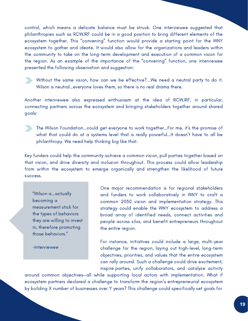control, which means a delicate balance must be struck. One interviewee suggested that philanthropies such as RCWJRF could be in a good position to bring different elements of the ecosystem together. This "convening" function would provide a starting point for the WNY ecosystem to gather and ideate. It would also allow for the organizations and leaders within the community to take on the long-term development and execution of a common vision for the region. As an example of the importance of the "convening" function, one interviewee presented the following observation and suggestion:



Without the same vision, how can we be effective?...We need a neutral party to do it. Wilson is neutral…everyone loves them, so there is no real drama there.

Another interviewee also expressed enthusiasm at the idea of RCWJRF, in particular, connecting partners across the ecosystem and bringing stakeholders together around shared goals:

The Wilson Foundation…could get everyone to work together…For me, it's the promise of what that could do at a systems level that is really powerful…It doesn't have to all be philanthropy. We need help thinking big like that.

Key funders could help the community achieve a common vision, pull parties together based on that vision, and drive diversity and inclusion throughout. This process could allow leadership from within the ecosystem to emerge organically and strengthen the likelihood of future success.

"Wilson is…actually becoming a measurement stick for the types of behaviors they are willing to invest in, therefore promoting those behaviors."

-Interviewee

One major recommendation is for regional stakeholders and funders to work collaboratively in WNY to craft a common 2030 vision and implementation strategy. This strategy could enable the WNY ecosystem to address a broad array of identified needs, connect activities and people across silos, and benefit entrepreneurs throughout the entire region.

For instance, initiatives could include a large, multi-year challenge for the region, laying out high-level, long-term objectives, priorities, and values that the entire ecosystem can rally around. Such a challenge could drive excitement, inspire parties, unify collaborators, and catalyze activity

around common objectives—all while supporting local actors with implementation. What if ecosystem partners declared a challenge to transform the region's entrepreneurial ecosystem by building X number of businesses over Y years? This challenge could specifically set goals for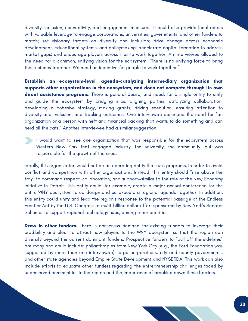diversity, inclusion, connectivity, and engagement measures. It could also provide local actors with valuable leverage to engage corporations, universities, governments, and other funders to match; set visionary targets on diversity and inclusion; drive change across economic development, educational systems, and policymaking; accelerate capital formation to address market gaps; and encourage players across silos to work together. An interviewee alluded to the need for a common, unifying vision for the ecosystem: "There is no unifying force to bring these pieces together. We need an incentive for people to work together."

Establish an ecosystem-level, agenda-catalyzing intermediary organization that supports other organizations in the ecosystem, and does not compete through its own direct assistance programs. There is general desire, and need, for a single entity to unify and guide the ecosystem by bridging silos, aligning parties, catalyzing collaboration, developing a cohesive strategy, making grants, driving execution, ensuring attention to diversity and inclusion, and tracking outcomes. One interviewee described the need for "an organization or a person with heft and financial backing that wants to do something and can herd all the cats." Another interviewee had a similar suggestion:



Ideally, this organization would not be an operating entity that runs programs, in order to avoid conflict and competition with other organizations. Instead, this entity should "rise above the fray" to command respect, collaboration, and support—similar to the role of the New Economy Initiative in Detroit. This entity could, for example, create a major annual conference for the entire WNY ecosystem to co-design and co-execute a regional agenda together. In addition, this entity could unify and lead the region's response to the potential passage of the Endless Frontier Act by the U.S. Congress, a multi-billion dollar effort sponsored by New York's Senator Schumer to support regional technology hubs, among other priorities.

**Draw in other funders.** There is consensus demand for existing funders to leverage their credibility and clout to attract new players to the WNY ecosystem so that the region can diversify beyond the current dominant funders. Prospective funders to "pull off the sidelines" are many and could include: philanthropies from New York City (e.g., the Ford Foundation was suggested by more than one interviewee), large corporations, city and county governments, and other state agencies beyond Empire State Development and NYSERDA. This work can also include efforts to educate other funders regarding the entrepreneurship challenges faced by underserved communities in the region and the importance of breaking down these barriers.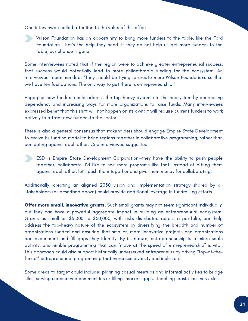One interviewee called attention to the value of this effort:

Wilson Foundation has an opportunity to bring more funders to the table, like the Ford Foundation. That's the help they need…If they do not help us get more funders to the table, our chance is gone.

Some interviewees noted that if the region were to achieve greater entrepreneurial success, that success would potentially lead to more philanthropic funding for the ecosystem. An interviewee recommended: "They should be trying to create more Wilson Foundations so that we have ten foundations. The only way to get there is entrepreneurship."

Engaging new funders could address the top-heavy dynamic in the ecosystem by decreasing dependency and increasing ways for more organizations to raise funds. Many interviewees expressed belief that this shift will not happen on its own; it will require current funders to work actively to attract new funders to the sector.

There is also a general consensus that stakeholders should engage Empire State Development to evolve its funding model to bring regions together in collaborative programming, rather than competing against each other. One interviewee suggested:

ESD is Empire State Development Corporation—they have the ability to push people together, collaborate. I'd like to see more programs like that…Instead of pitting them against each other, let's push them together and give them money for collaborating.

Additionally, creating an aligned 2030 vision and implementation strategy shared by all stakeholders (as described above) could provide additional leverage in fundraising efforts.

Offer more small, innovative grants. Such small grants may not seem significant individually, but they can have a powerful aggregate impact in building an entrepreneurial ecosystem. Grants as small as \$5,000 to \$50,000, with risks distributed across a portfolio, can help address the top-heavy nature of the ecosystem by diversifying the breadth and number of organizations funded and ensuring that smaller, more innovative projects and organizations can experiment and fill gaps they identify. By its nature, entrepreneurship is a micro-scale activity, and nimble programming that can "move at the speed of entrepreneurship" is vital. This approach could also support historically underserved entrepreneurs by driving "top-of-thefunnel" entrepreneurial programming that increases diversity and inclusion.

Some areas to target could include: planning casual meetups and informal activities to bridge silos; serving underserved communities or filling market gaps; teaching basic business skills;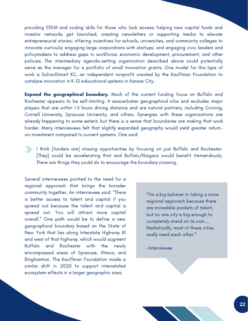providing STEM and coding skills for those who lack access; helping new capital funds and investor networks get launched; creating newsletters or supporting media to elevate entrepreneurial stories; offering incentives for schools, universities, and community colleges to innovate curricula; engaging large corporations with startups; and engaging civic leaders and policymakers to address gaps in workforce, economic development, procurement, and other policies. The intermediary agenda-setting organization described above could potentially serve as the manager for a portfolio of small innovation grants. One model for this type of work is SchoolSmart KC, an independent nonprofit created by the Kauffman Foundation to catalyze innovation in K-12 educational systems in Kansas City.

**Expand the geographical boundary.** Much of the current funding focus on Buffalo and Rochester appears to be self-limiting. It exacerbates geographical silos and excludes major players that are within 1.5 hours driving distance and are natural partners, including Corning, Cornell University, Syracuse University, and others. Synergies with these organizations are already happening to some extent, but there is a sense that boundaries are making that work harder. Many interviewees felt that slightly expanded geography would yield greater returnon-investment compared to current systems. One said:

I think [funders are] missing opportunities by focusing on just Buffalo and Rochester. [They] could be accelerating that and Buffalo/Niagara would benefit tremendously. There are things they could do to encourage the boundary crossing.

Several interviewees pointed to the need for a regional approach that brings the broader community together. An interviewee said: "There is better access to talent and capital if you spread out because the talent and capital is spread out. You will attract more capital overall." One path would be to define a new geographical boundary based on the State of New York that lies along Interstate Highway 81 and west of that highway, which would augment Buffalo and Rochester with the newly encompassed areas of Syracuse, Ithaca, and Binghamton. The Kauffman Foundation made a similar shift in 2020 to support interrelated ecosystem effects in a larger geographic area.

"I'm a big believer in taking a more regional approach because there are incredible pockets of talent, but no one city is big enough to completely stand on its own.… Realistically, most of these cities really need each other."

-Interviewee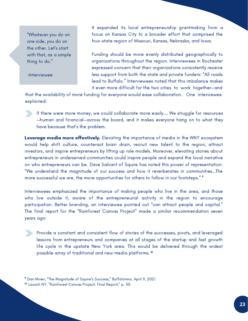"Whatever you do on one side, you do on the other. Let's start with that, as a simple thing to do."

-Interviewee

It expanded its local entrepreneurship grantmaking from a focus on Kansas City to a broader effort that comprised the four-state region of Missouri, Kansas, Nebraska, and Iowa.

Funding should be more evenly distributed geographically to organizations throughout the region. Interviewees in Rochester expressed concern that their organizations consistently receive less support from both the state and private funders: "All roads lead to Buffalo." Interviewees noted that this imbalance makes it even more difficult for the two cities to work together—and

that the availability of more funding for everyone would ease collaboration. One interviewee explained:

If there were more money, we could collaborate more easily…. We struggle for resources —human and financial—across the board, and it makes everyone hang on to what they have because that's the problem.

Leverage media more effectively. Elevating the importance of media in the WNY ecosystem would help shift culture, counteract brain drain, recruit new talent to the region, attract investors, and inspire entrepreneurs by lifting up role models. Moreover, elevating stories about entrepreneurs in underserved communities could inspire people and expand the local narrative on who entrepreneurs can be. Dave Salvant of Squire has noted this power of representation: "We understand the magnitude of our success and how it reverberates in communities…The more successful we are, the more opportunities for others to follow in our footsteps." 9

Interviewees emphasized the importance of making people who live in the area, and those who live outside it, aware of the entrepreneurial activity in the region to encourage participation. Better branding, an interviewee pointed out "can attract people and capital." The final report for the "Rainforest Canvas Project" made a similar recommendation seven years ago:

Provide a constant and consistent flow of stories of the successes, pivots, and leveraged lessons from entrepreneurs and companies at all stages of the startup and fast growth life cycle in the upstate New York area. This would be delivered through the widest possible array of traditional and new media platforms. 10

 $\,{}^{\rm o}$  Dan Miner, "The Magnitude of Squire's Success," BuffaloInno, April 9, 2021. <sup>10</sup> Launch NY, "Rainforest Canvas Project: Final Report," p. 30.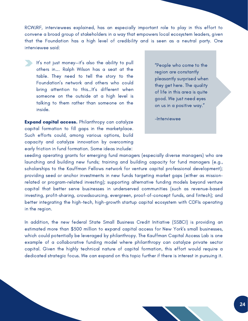RCWJRF, interviewees explained, has an especially important role to play in this effort to convene a broad group of stakeholders in a way that empowers local ecosystem leaders, given that the Foundation has a high level of credibility and is seen as a neutral party. One interviewee said:

It's not just money—it's also the ability to pull others in…. Ralph Wilson has a seat at the table. They need to tell the story to the Foundation's network and others who could bring attention to this…It's different when someone on the outside at a high level is talking to them rather than someone on the inside.

**Expand capital access.** Philanthropy can catalyze capital formation to fill gaps in the marketplace. Such efforts could, among various options, build capacity and catalyze innovation by overcoming early friction in fund formation. Some ideas include:

"People who come to the region are constantly pleasantly surprised when they get here. The quality of life in this area is quite good. We just need eyes on us in a positive way. $\rlap{.}''$ 

-Interviewee

seeding operating grants for emerging fund managers (especially diverse managers) who are launching and building new funds; training and building capacity for fund managers (e.g., scholarships to the Kauffman Fellows network for venture capital professional development); providing seed or anchor investments in new funds targeting market gaps (either as missionrelated or program-related investing); supporting alternative funding models beyond venture capital that better serve businesses in underserved communities (such as revenue-based investing, profit-sharing, crowdsourcing, evergreen, proof-of-concept funds, and fintech); and better integrating the high-tech, high-growth startup capital ecosystem with CDFIs operating in the region.

In addition, the new federal State Small Business Credit Initiative (SSBCI) is providing an estimated more than \$500 million to expand capital access for New York's small businesses, which could potentially be leveraged by philanthropy. The Kauffman Capital Access Lab is one example of a collaborative funding model where philanthropy can catalyze private sector capital. Given the highly technical nature of capital formation, this effort would require a dedicated strategic focus. We can expand on this topic further if there is interest in pursuing it.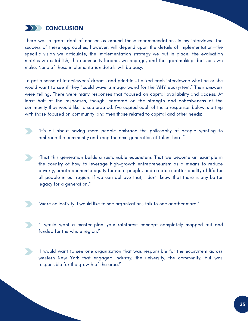

There was a great deal of consensus around these recommendations in my interviews. The success of these approaches, however, will depend upon the details of implementation—the specific vision we articulate, the implementation strategy we put in place, the evaluation metrics we establish, the community leaders we engage, and the grantmaking decisions we make. None of these implementation details will be easy.

To get a sense of interviewees' dreams and priorities, I asked each interviewee what he or she would want to see if they "could wave a magic wand for the WNY ecosystem." Their answers were telling. There were many responses that focused on capital availability and access. At least half of the responses, though, centered on the strength and cohesiveness of the community they would like to see created. I've copied each of these responses below, starting with those focused on community, and then those related to capital and other needs:



"That this generation builds a sustainable ecosystem. That we become an example in the country of how to leverage high-growth entrepreneurism as a means to reduce poverty, create economic equity for more people, and create a better quality of life for all people in our region. If we can achieve that, I don't know that there is any better legacy for a generation."

- "More collectivity. I would like to see organizations talk to one another more."
- "I would want a master plan—your rainforest concept completely mapped out and funded for the whole region."
- "I would want to see one organization that was responsible for the ecosystem across western New York that engaged industry, the university, the community, but was responsible for the growth of the area."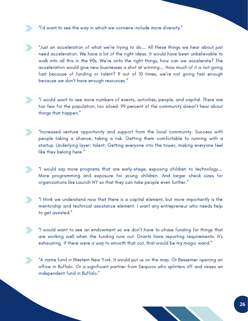"I'd want to see the way in which we convene include more diversity."

"Just an acceleration of what we're trying to do…. All these things we hear about just need acceleration. We have a lot of the right ideas. It would have been unbelievable to walk into all this in the 90s. We're onto the right things, how can we accelerate? The acceleration would give new businesses a shot at winning…. How much of it is not going fast because of funding or talent? 9 out of 10 times, we're not going fast enough because we don't have enough resources."

"I would want to see more numbers of events, activities, people, and capital. There are too few for the population, too siloed. 99 percent of the community doesn't hear about things that happen."

- "Increased venture opportunity and support from the local community. Success with people taking a chance, taking a risk. Getting them comfortable to running with a startup. Underlying layer: talent. Getting everyone into the tower, making everyone feel like they belong here."
	- "I would say more programs that are early-stage, exposing children to technology…. More programming and exposure for young children. And larger check sizes for organizations like Launch NY so that they can take people even further."
- "I think we understand now that there is a capital element, but more importantly is the mentorship and technical assistance element. I want any entrepreneur who needs help to get assisted."
- "I would want to see an endowment so we don't have to chase funding for things that are working well when the funding runs out. Grants have reporting requirements. It's exhausting. If there were a way to smooth that out, that would be my magic wand."
- "A name fund in Western New York. It would put us on the map. Or Bessemer opening an office in Buffalo. Or a significant partner from Sequoia who splinters off and raises an independent fund in Buffalo."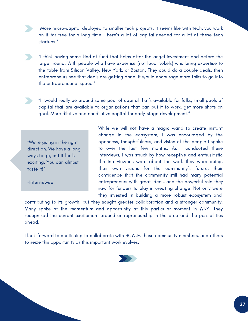"More micro-capital deployed to smaller tech projects. It seems like with tech, you work on it for free for a long time. There's a lot of capital needed for a lot of these tech startups."

"I think having some kind of fund that helps after the angel investment and before the larger round. With people who have expertise (not local yokels) who bring expertise to the table from Silicon Valley, New York, or Boston. They could do a couple deals, then entrepreneurs see that deals are getting done. It would encourage more folks to go into the entrepreneurial space."

"It would really be around some pool of capital that's available for folks, small pools of capital that are available to organizations that can put it to work, get more shots on goal. More dilutive and nondilutive capital for early-stage development."

"We're going in the right direction. We have a long ways to go, but it feels exciting. You can almost taste it!"

-Interviewee

While we will not have a magic wand to create instant change in the ecosystem, I was encouraged by the openness, thoughtfulness, and vision of the people I spoke to over the last few months. As I conducted these interviews, I was struck by how receptive and enthusiastic the interviewees were about the work they were doing, their own visions for the community's future, their confidence that the community still had many potential entrepreneurs with great ideas, and the powerful role they saw for funders to play in creating change. Not only were they invested in building a more robust ecosystem and

contributing to its growth, but they sought greater collaboration and a stronger community. Many spoke of the momentum and opportunity at this particular moment in WNY. They recognized the current excitement around entrepreneurship in the area and the possibilities ahead.

I look forward to continuing to collaborate with RCWJF, these community members, and others to seize this opportunity as this important work evolves.

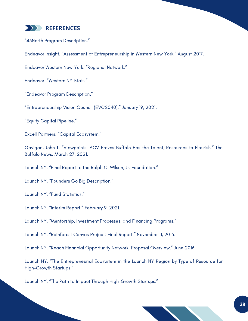

"43North Program Description."

Endeavor Insight. "Assessment of Entrepreneurship in Western New York." August 2017.

Endeavor Western New York. "Regional Network."

Endeavor. "Western NY Stats."

"Endeavor Program Description."

"Entrepreneurship Vision Council (EVC2040)." January 19, 2021.

"Equity Capital Pipeline."

Excell Partners. "Capital Ecosystem."

Gavigan, John T. "Viewpoints: ACV Proves Buffalo Has the Talent, Resources to Flourish." The Buffalo News. March 27, 2021.

Launch NY. "Final Report to the Ralph C. Wilson, Jr. Foundation."

Launch NY. "Founders Go Big Description."

Launch NY. "Fund Statistics."

Launch NY. "Interim Report." February 9, 2021.

Launch NY. "Mentorship, Investment Processes, and Financing Programs."

Launch NY. "Rainforest Canvas Project: Final Report." November 11, 2016.

Launch NY. "Reach Financial Opportunity Network: Proposal Overview." June 2016.

Launch NY. "The Entrepreneurial Ecosystem in the Launch NY Region by Type of Resource for High-Growth Startups."

Launch NY. "The Path to Impact Through High-Growth Startups."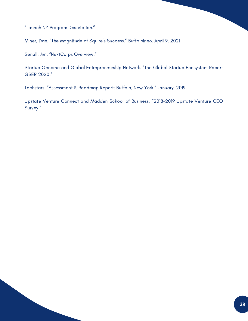"Launch NY Program Description."

Miner, Dan. "The Magnitude of Squire's Success." BuffaloInno. April 9, 2021.

Senall, Jim. "NextCorps Overview."

Startup Genome and Global Entrepreneurship Network. "The Global Startup Ecosystem Report GSER 2020."

Techstars. "Assessment & Roadmap Report: Buffalo, New York." January, 2019.

Upstate Venture Connect and Madden School of Business. "2018-2019 Upstate Venture CEO Survey."